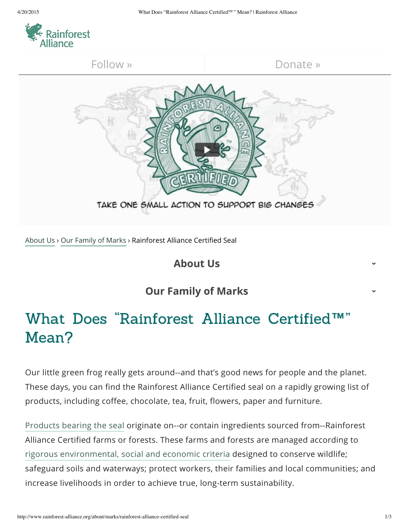





About Us › Our Family of Marks › Rainforest Alliance Certified Seal

#### About Us ›

### **Our Family of Marks**

# What Does "Rainforest Alliance Certified™" Mean?

Our little green frog really gets around--and that's good news for people and the planet. These days, you can find the Rainforest Alliance Certified seal on a rapidly growing list of products, including coffee, chocolate, tea, fruit, flowers, paper and furniture.

Products bearing the seal originate on--or contain ingredients sourced from--Rainforest Alliance Certified farms or forests. These farms and forests are managed according to rigorous environmental, social and economic criteria designed to conserve wildlife; safeguard soils and waterways; protect workers, their families and local communities; and increase livelihoods in order to achieve true, long-term sustainability.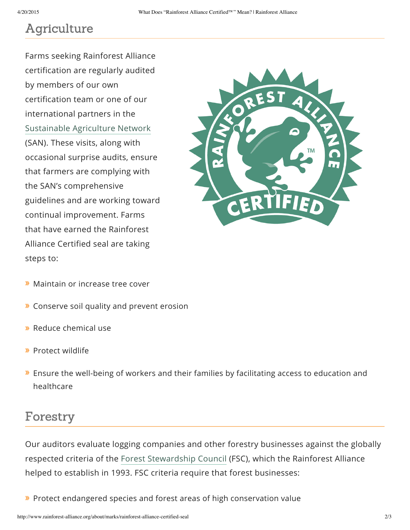## Agriculture

Farms seeking Rainforest Alliance certification are regularly audited by members of our own certification team or one of our international partners in the Sustainable Agriculture Network (SAN). These visits, along with occasional surprise audits, ensure that farmers are complying with the SAN's comprehensive guidelines and are working toward continual improvement. Farms that have earned the Rainforest Alliance Certified seal are taking steps to:



- **»** Maintain or increase tree cover
- **»** Conserve soil quality and prevent erosion
- **»** Reduce chemical use
- **»** Protect wildlife
- **»** Ensure the well-being of workers and their families by facilitating access to education and healthcare

### Forestry

Our auditors evaluate logging companies and other forestry businesses against the globally respected criteria of the Forest Stewardship Council (FSC), which the Rainforest Alliance helped to establish in 1993. FSC criteria require that forest businesses:

**»** Protect endangered species and forest areas of high conservation value